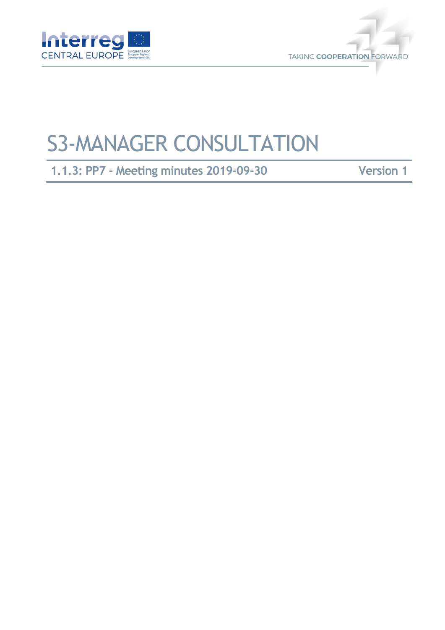



# S3-MANAGER CONSULTATION

**1.1.3: PP7 - Meeting minutes 2019-09-30 Version 1**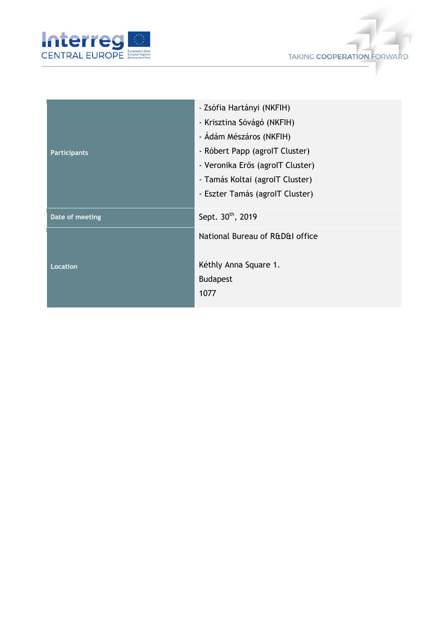



| <b>Participants</b> | - Zsófia Hartányi (NKFIH)<br>- Krisztina Sóvágó (NKFIH)<br>- Ádám Mészáros (NKFIH)<br>- Róbert Papp (agrolT Cluster)<br>- Veronika Erős (agrolT Cluster)<br>- Tamás Koltai (agrolT Cluster)<br>- Eszter Tamás (agrolT Cluster) |
|---------------------|--------------------------------------------------------------------------------------------------------------------------------------------------------------------------------------------------------------------------------|
| Date of meeting     | Sept. 30th, 2019                                                                                                                                                                                                               |
| <b>Location</b>     | National Bureau of R&D&I office<br>Kéthly Anna Square 1.<br><b>Budapest</b><br>1077                                                                                                                                            |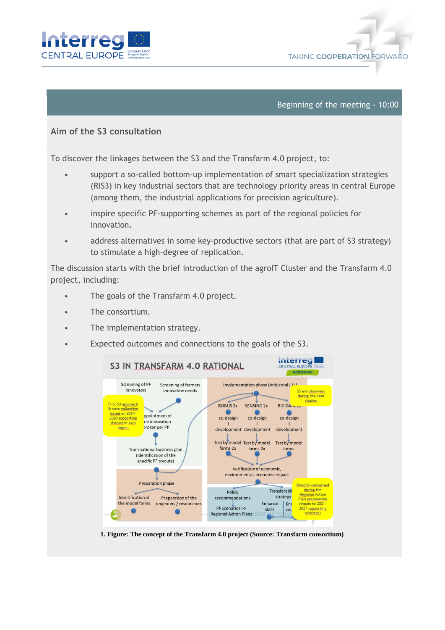



#### Beginning of the meeting - 10:00

## **Aim of the S3 consultation**

To discover the linkages between the S3 and the Transfarm 4.0 project, to:

- support a so-called bottom-up implementation of smart specialization strategies (RIS3) in key industrial sectors that are technology priority areas in central Europe (among them, the industrial applications for precision agriculture).
- inspire specific PF-supporting schemes as part of the regional policies for innovation.
- address alternatives in some key-productive sectors (that are part of S3 strategy) to stimulate a high-degree of replication.

The discussion starts with the brief introduction of the agroIT Cluster and the Transfarm 4.0 project, including:

- The goals of the Transfarm 4.0 project.
- The consortium.
- The implementation strategy.
- Expected outcomes and connections to the goals of the S3.



**1. Figure: The concept of the Transfarm 4.0 project (Source: Transfarm consortium)**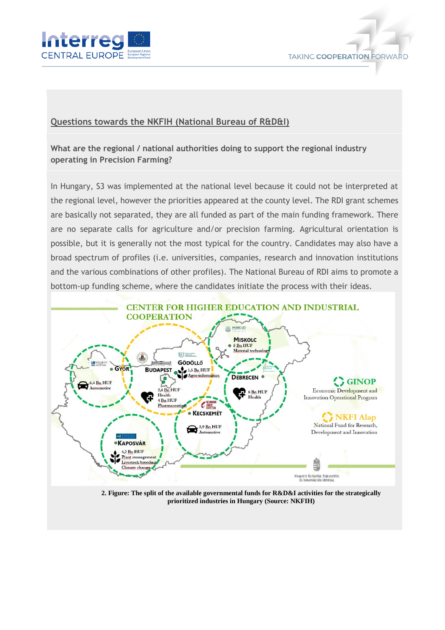



## **Questions towards the NKFIH (National Bureau of R&D&I)**

**What are the regional / national authorities doing to support the regional industry operating in Precision Farming?**

In Hungary, S3 was implemented at the national level because it could not be interpreted at the regional level, however the priorities appeared at the county level. The RDI grant schemes are basically not separated, they are all funded as part of the main funding framework. There are no separate calls for agriculture and/or precision farming. Agricultural orientation is possible, but it is generally not the most typical for the country. Candidates may also have a broad spectrum of profiles (i.e. universities, companies, research and innovation institutions and the various combinations of other profiles). The National Bureau of RDI aims to promote a bottom-up funding scheme, where the candidates initiate the process with their ideas.



**2. Figure: The split of the available governmental funds for R&D&I activities for the strategically prioritized industries in Hungary (Source: NKFIH)**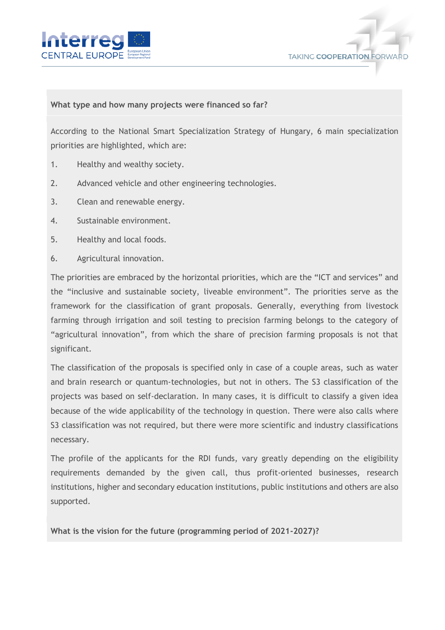



### **What type and how many projects were financed so far?**

According to the National Smart Specialization Strategy of Hungary, 6 main specialization priorities are highlighted, which are:

- 1. Healthy and wealthy society.
- 2. Advanced vehicle and other engineering technologies.
- 3. Clean and renewable energy.
- 4. Sustainable environment.
- 5. Healthy and local foods.
- 6. Agricultural innovation.

The priorities are embraced by the horizontal priorities, which are the "ICT and services" and the "inclusive and sustainable society, liveable environment". The priorities serve as the framework for the classification of grant proposals. Generally, everything from livestock farming through irrigation and soil testing to precision farming belongs to the category of "agricultural innovation", from which the share of precision farming proposals is not that significant.

The classification of the proposals is specified only in case of a couple areas, such as water and brain research or quantum-technologies, but not in others. The S3 classification of the projects was based on self-declaration. In many cases, it is difficult to classify a given idea because of the wide applicability of the technology in question. There were also calls where S3 classification was not required, but there were more scientific and industry classifications necessary.

The profile of the applicants for the RDI funds, vary greatly depending on the eligibility requirements demanded by the given call, thus profit-oriented businesses, research institutions, higher and secondary education institutions, public institutions and others are also supported.

**What is the vision for the future (programming period of 2021-2027)?**